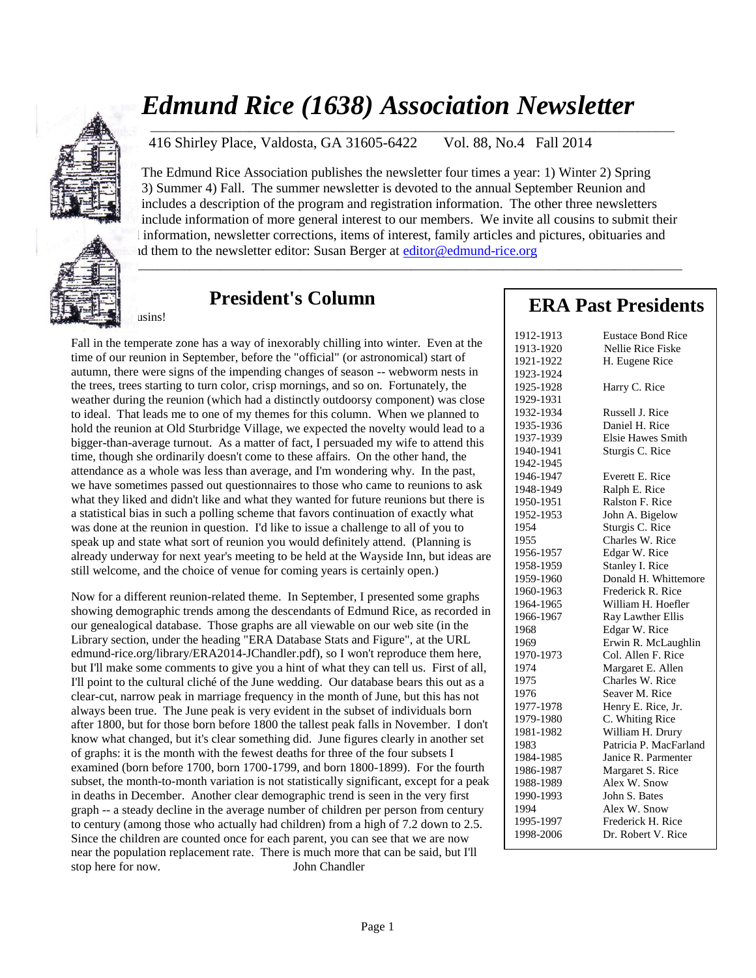

usins!

# *Edmund Rice (1638) Association Newsletter*

416 Shirley Place, Valdosta, GA 31605-6422 Vol. 88, No.4 Fall 2014

\_\_\_\_\_\_\_\_\_\_\_\_\_\_\_\_\_\_\_\_\_\_\_\_\_\_\_\_\_\_\_\_\_\_\_\_\_\_\_\_\_\_\_\_\_\_\_\_\_\_\_\_\_\_\_\_\_\_\_\_\_\_\_\_\_\_\_\_\_\_\_\_\_\_\_\_\_\_\_\_\_\_\_\_\_\_\_\_\_\_\_\_\_\_\_\_\_\_\_

The Edmund Rice Association publishes the newsletter four times a year: 1) Winter 2) Spring 3) Summer 4) Fall. The summer newsletter is devoted to the annual September Reunion and includes a description of the program and registration information. The other three newsletters include information of more general interest to our members. We invite all cousins to submit their l information, newsletter corrections, items of interest, family articles and pictures, obituaries and d them to the newsletter editor: Susan Berger at [editor@edmund-rice.org](mailto:editor@edmund-rice.org)

\_\_\_\_\_\_\_\_\_\_\_\_\_\_\_\_\_\_\_\_\_\_\_\_\_\_\_\_\_\_\_\_\_\_\_\_\_\_\_\_\_\_\_\_\_\_\_\_\_\_\_\_\_\_\_\_\_\_\_\_\_\_\_\_\_\_\_\_\_\_\_\_\_\_\_\_\_\_\_\_\_\_\_\_\_

## **President's Column**

Fall in the temperate zone has a way of inexorably chilling into winter. Even at the time of our reunion in September, before the "official" (or astronomical) start of autumn, there were signs of the impending changes of season -- webworm nests in the trees, trees starting to turn color, crisp mornings, and so on. Fortunately, the weather during the reunion (which had a distinctly outdoorsy component) was close to ideal. That leads me to one of my themes for this column. When we planned to hold the reunion at Old Sturbridge Village, we expected the novelty would lead to a bigger-than-average turnout. As a matter of fact, I persuaded my wife to attend this time, though she ordinarily doesn't come to these affairs. On the other hand, the attendance as a whole was less than average, and I'm wondering why. In the past, we have sometimes passed out questionnaires to those who came to reunions to ask what they liked and didn't like and what they wanted for future reunions but there is a statistical bias in such a polling scheme that favors continuation of exactly what was done at the reunion in question. I'd like to issue a challenge to all of you to speak up and state what sort of reunion you would definitely attend. (Planning is already underway for next year's meeting to be held at the Wayside Inn, but ideas are still welcome, and the choice of venue for coming years is certainly open.)

Now for a different reunion-related theme. In September, I presented some graphs showing demographic trends among the descendants of Edmund Rice, as recorded in our genealogical database. Those graphs are all viewable on our web site (in the Library section, under the heading "ERA Database Stats and Figure", at the URL edmund-rice.org/library/ERA2014-JChandler.pdf), so I won't reproduce them here, but I'll make some comments to give you a hint of what they can tell us. First of all, I'll point to the cultural cliché of the June wedding. Our database bears this out as a clear-cut, narrow peak in marriage frequency in the month of June, but this has not always been true. The June peak is very evident in the subset of individuals born after 1800, but for those born before 1800 the tallest peak falls in November. I don't know what changed, but it's clear something did. June figures clearly in another set of graphs: it is the month with the fewest deaths for three of the four subsets I examined (born before 1700, born 1700-1799, and born 1800-1899). For the fourth subset, the month-to-month variation is not statistically significant, except for a peak in deaths in December. Another clear demographic trend is seen in the very first graph -- a steady decline in the average number of children per person from century to century (among those who actually had children) from a high of 7.2 down to 2.5. Since the children are counted once for each parent, you can see that we are now near the population replacement rate. There is much more that can be said, but I'll stop here for now. John Chandler

## **ERA Past Presidents**

| 1912-1913 | <b>Eustace Bond Rice</b> |
|-----------|--------------------------|
| 1913-1920 | Nellie Rice Fiske        |
| 1921-1922 | H. Eugene Rice           |
| 1923-1924 |                          |
| 1925-1928 | Harry C. Rice            |
| 1929-1931 |                          |
| 1932-1934 | Russell J. Rice          |
| 1935-1936 | Daniel H. Rice           |
| 1937-1939 | <b>Elsie Hawes Smith</b> |
| 1940-1941 | Sturgis C. Rice          |
| 1942-1945 |                          |
| 1946-1947 | Everett E. Rice          |
| 1948-1949 | Ralph E. Rice            |
| 1950-1951 | Ralston F. Rice          |
| 1952-1953 | John A. Bigelow          |
| 1954      | Sturgis C. Rice          |
| 1955      | Charles W. Rice          |
| 1956-1957 | Edgar W. Rice            |
| 1958-1959 | Stanley I. Rice          |
| 1959-1960 | Donald H. Whittemore     |
| 1960-1963 | Frederick R. Rice        |
| 1964-1965 | William H. Hoefler       |
| 1966-1967 | Ray Lawther Ellis        |
| 1968      | Edgar W. Rice            |
| 1969      | Erwin R. McLaughlin      |
| 1970-1973 | Col. Allen F. Rice       |
| 1974      | Margaret E. Allen        |
| 1975      | Charles W. Rice          |
| 1976      | Seaver M. Rice           |
| 1977-1978 | Henry E. Rice, Jr.       |
| 1979-1980 | C. Whiting Rice          |
| 1981-1982 | William H. Drury         |
| 1983      | Patricia P. MacFarland   |
| 1984-1985 | Janice R. Parmenter      |
| 1986-1987 | Margaret S. Rice         |
| 1988-1989 | Alex W. Snow             |
| 1990-1993 | John S. Bates            |
| 1994      | Alex W. Snow             |
| 1995-1997 | Frederick H. Rice        |
| 1998-2006 | Dr. Robert V. Rice       |
|           |                          |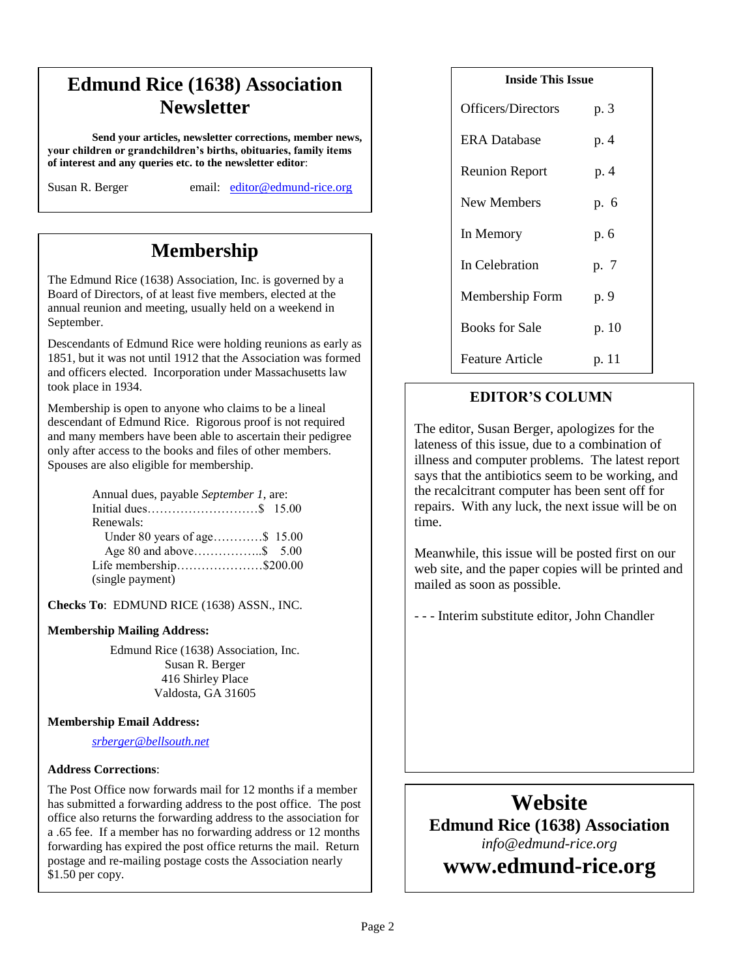# **Edmund Rice (1638) Association Newsletter**

**Send your articles, newsletter corrections, member news, your children or grandchildren's births, obituaries, family items of interest and any queries etc. to the newsletter editor**:

Susan R. Berger email: [editor@edmund-rice.org](mailto:editor@edmund-rice.org)

# **Membership**

The Edmund Rice (1638) Association, Inc. is governed by a Board of Directors, of at least five members, elected at the annual reunion and meeting, usually held on a weekend in September.

Descendants of Edmund Rice were holding reunions as early as 1851, but it was not until 1912 that the Association was formed and officers elected. Incorporation under Massachusetts law took place in 1934.

Membership is open to anyone who claims to be a lineal descendant of Edmund Rice. Rigorous proof is not required and many members have been able to ascertain their pedigree only after access to the books and files of other members. Spouses are also eligible for membership.

| Annual dues, payable September 1, are: |
|----------------------------------------|
|                                        |
|                                        |
| Under 80 years of age\$ 15.00          |
|                                        |
| Life membership\$200.00                |
|                                        |
|                                        |

**Checks To**: EDMUND RICE (1638) ASSN., INC.

#### **Membership Mailing Address:**

Edmund Rice (1638) Association, Inc. Susan R. Berger 416 Shirley Place Valdosta, GA 31605

#### **Membership Email Address:**

*[srberger@bellsouth.net](mailto:srberger@bellsouth.net)*

#### **Address Corrections**:

The Post Office now forwards mail for 12 months if a member has submitted a forwarding address to the post office. The post office also returns the forwarding address to the association for a .65 fee. If a member has no forwarding address or 12 months forwarding has expired the post office returns the mail. Return postage and re-mailing postage costs the Association nearly \$1.50 per copy.

| <b>Inside This Issue</b> |       |  |
|--------------------------|-------|--|
| Officers/Directors       | p. 3  |  |
| <b>ERA</b> Database      | p. 4  |  |
| <b>Reunion Report</b>    | p. 4  |  |
| New Members              | p. 6  |  |
| In Memory                | p. 6  |  |
| In Celebration           | p. 7  |  |
| Membership Form          | p. 9  |  |
| <b>Books for Sale</b>    | p. 10 |  |
| <b>Feature Article</b>   | p. 11 |  |
|                          |       |  |

#### **EDITOR'S COLUMN**

The editor, Susan Berger, apologizes for the lateness of this issue, due to a combination of illness and computer problems. The latest report says that the antibiotics seem to be working, and the recalcitrant computer has been sent off for repairs. With any luck, the next issue will be on time.

Meanwhile, this issue will be posted first on our web site, and the paper copies will be printed and mailed as soon as possible.

- - - Interim substitute editor, John Chandler

# **Website Edmund Rice (1638) Association** *info@edmund-rice.org*

**12**

# **-2013 Officers www.edmund-rice.org**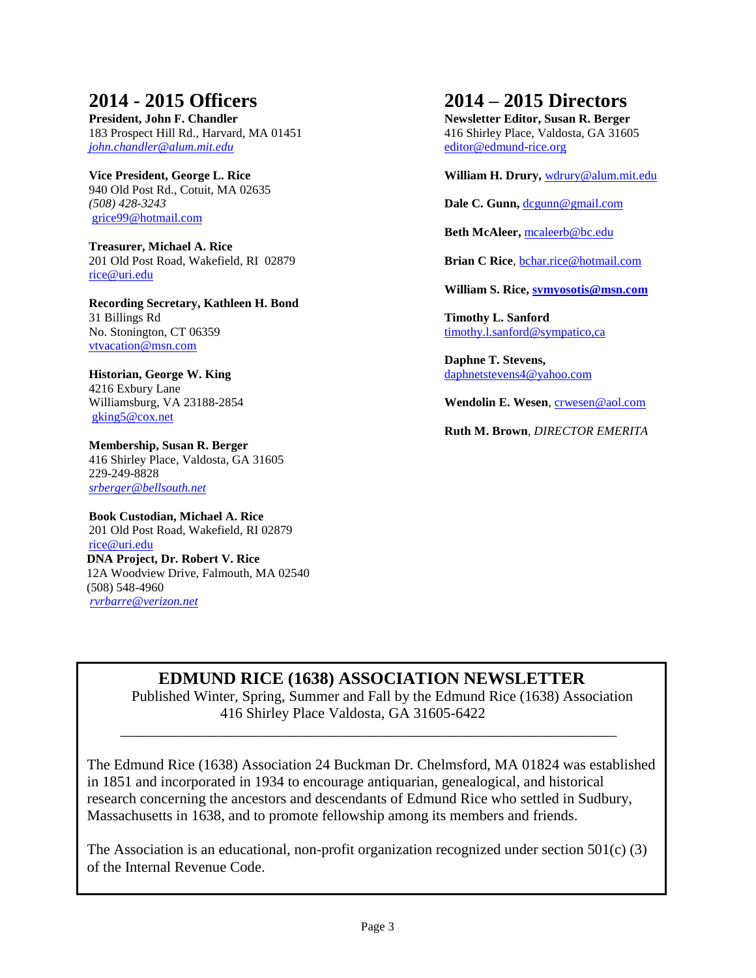## **2014 - 2015 Officers**

**President, John F. Chandler** 183 Prospect Hill Rd., Harvard, MA 01451 *[john.chandler@alum.mit.edu](mailto:john.chandler@alum.mit.edu)* 

**Vice President, George L. Rice** 940 Old Post Rd., Cotuit, MA 02635 *(508) 428-3243* [grice99@hotmail.com](mailto:grice99@hotmail.com)

**Treasurer, Michael A. Rice** 201 Old Post Road, Wakefield, RI 02879 [rice@uri.edu](mailto:rice@uri.edu)

**Recording Secretary, Kathleen H. Bond** 31 Billings Rd No. Stonington, CT 06359 [vtvacation@msn.com](mailto:vtvacation@msn.com)

**Historian, George W. King** 4216 Exbury Lane Williamsburg, VA 23188-2854 [gking5@cox.net](mailto:gking5@cox.net)

**Membership, Susan R. Berger** 416 Shirley Place, Valdosta, GA 31605 229-249-8828 *[srberger@bellsouth.net](mailto:srberger@bellsouth.net)*

**Book Custodian, Michael A. Rice** 201 Old Post Road, Wakefield, RI 02879 [rice@uri.edu](mailto:rice@uri.edu) **DNA Project, Dr. Robert V. Rice** 12A Woodview Drive, Falmouth, MA 02540 (508) 548-4960 *[rvrbarre@verizon.net](mailto:rvrbarre@verizon.net)*

## **2014 – 2015 Directors**

**Newsletter Editor, Susan R. Berger** 416 Shirley Place, Valdosta, GA 31605 [editor@edmund-rice.org](mailto:editor@edmund-rice.org)

**William H. Drury,** [wdrury@alum.mit.edu](mailto:wdrury@alum.mit.edu)

Dale C. Gunn, [dcgunn@gmail.com](mailto:dcgunn@gmail.com)

**Beth McAleer,** [mcaleerb@bc.edu](mailto:mcaleerb@bc.edu)

**Brian C Rice**, [bchar.rice@hotmail.com](mailto:bchar.rice@hotmail.com)

**William S. Rice, [svmyosotis@msn.com](mailto:svmyosotis@msn.com)**

**Timothy L. Sanford** [timothy.l.sanford@sympatico,ca](mailto:timothy.l.sanford@sympatico,ca)

**Daphne T. Stevens,**  [daphnetstevens4@yahoo.com](mailto:daphnetstevens4@yahoo.com)

**Wendolin E. Wesen**, [crwesen@aol.com](mailto:crwesen@aol.com)

**Ruth M. Brown***, DIRECTOR EMERITA*

### **EDMUND RICE (1638) ASSOCIATION NEWSLETTER**

\_\_\_\_\_\_\_\_\_\_\_\_\_\_\_\_\_\_\_\_\_\_\_\_\_\_\_\_\_\_\_\_\_\_\_\_\_\_\_\_\_\_\_\_\_\_\_\_\_\_\_\_\_\_\_\_\_\_\_\_\_\_\_\_\_\_\_

Published Winter, Spring, Summer and Fall by the Edmund Rice (1638) Association 416 Shirley Place Valdosta, GA 31605-6422

The Edmund Rice (1638) Association 24 Buckman Dr. Chelmsford, MA 01824 was established in 1851 and incorporated in 1934 to encourage antiquarian, genealogical, and historical research concerning the ancestors and descendants of Edmund Rice who settled in Sudbury, Massachusetts in 1638, and to promote fellowship among its members and friends.

The Association is an educational, non-profit organization recognized under section 501(c) (3) of the Internal Revenue Code.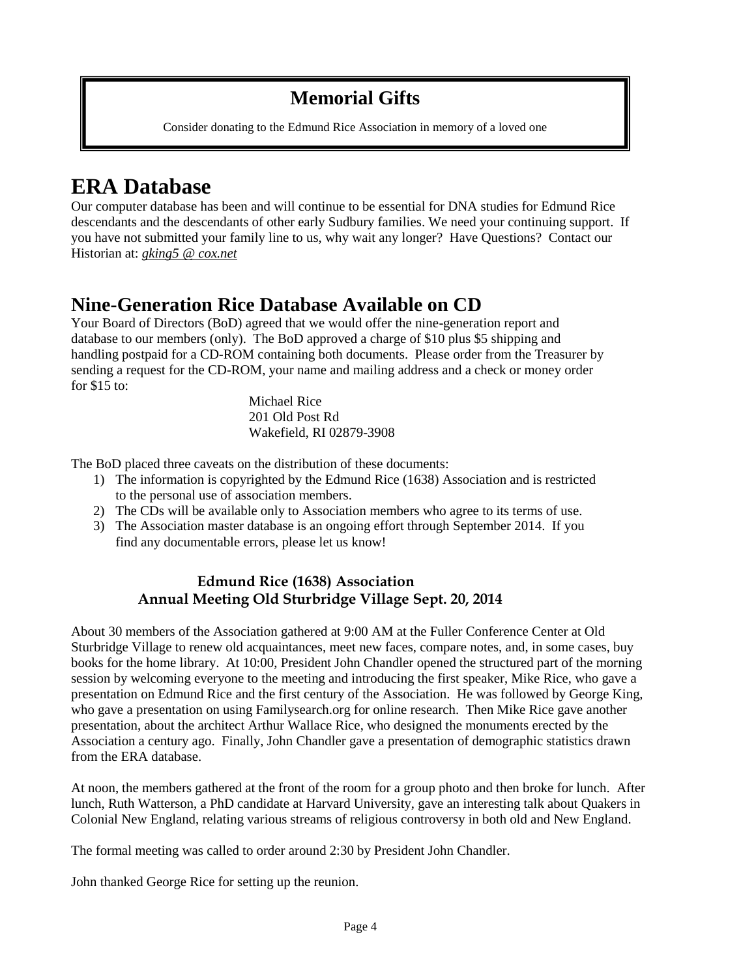## **Memorial Gifts**

Consider donating to the Edmund Rice Association in memory of a loved one

# **ERA Database**

Our computer database has been and will continue to be essential for DNA studies for Edmund Rice descendants and the descendants of other early Sudbury families. We need your continuing support. If you have not submitted your family line to us, why wait any longer? Have Questions? Contact our Historian at: *[gking5 @ cox.net](mailto:gking5@cox.net)*

# **Nine-Generation Rice Database Available on CD**

Your Board of Directors (BoD) agreed that we would offer the nine-generation report and database to our members (only). The BoD approved a charge of \$10 plus \$5 shipping and handling postpaid for a CD-ROM containing both documents. Please order from the Treasurer by sending a request for the CD-ROM, your name and mailing address and a check or money order for  $$15$  to:

> Michael Rice 201 Old Post Rd Wakefield, RI 02879-3908

The BoD placed three caveats on the distribution of these documents:

- 1) The information is copyrighted by the Edmund Rice (1638) Association and is restricted to the personal use of association members.
- 2) The CDs will be available only to Association members who agree to its terms of use.
- 3) The Association master database is an ongoing effort through September 2014. If you find any documentable errors, please let us know!

#### **Edmund Rice (1638) Association Annual Meeting Old Sturbridge Village Sept. 20, 2014**

About 30 members of the Association gathered at 9:00 AM at the Fuller Conference Center at Old Sturbridge Village to renew old acquaintances, meet new faces, compare notes, and, in some cases, buy books for the home library. At 10:00, President John Chandler opened the structured part of the morning session by welcoming everyone to the meeting and introducing the first speaker, Mike Rice, who gave a presentation on Edmund Rice and the first century of the Association. He was followed by George King, who gave a presentation on using Familysearch.org for online research. Then Mike Rice gave another presentation, about the architect Arthur Wallace Rice, who designed the monuments erected by the Association a century ago. Finally, John Chandler gave a presentation of demographic statistics drawn from the ERA database.

At noon, the members gathered at the front of the room for a group photo and then broke for lunch. After lunch, Ruth Watterson, a PhD candidate at Harvard University, gave an interesting talk about Quakers in Colonial New England, relating various streams of religious controversy in both old and New England.

The formal meeting was called to order around 2:30 by President John Chandler.

John thanked George Rice for setting up the reunion.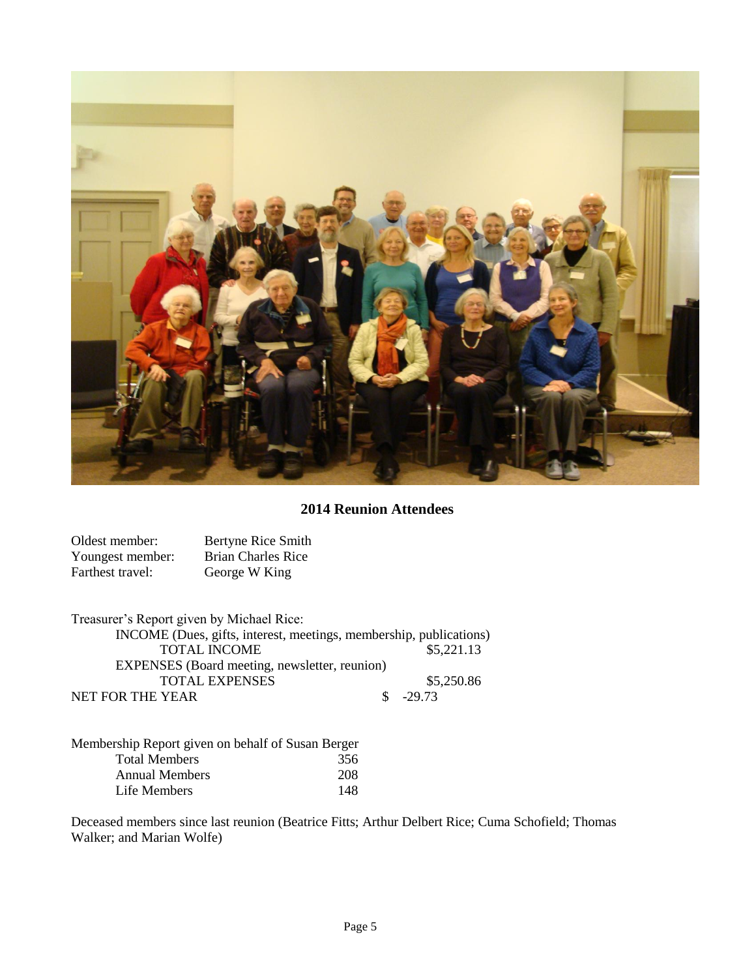

 **2014 Reunion Attendees**

| Oldest member:   | Bertyne Rice Smith        |
|------------------|---------------------------|
| Youngest member: | <b>Brian Charles Rice</b> |
| Farthest travel: | George W King             |

| Treasurer's Report given by Michael Rice:                          |            |
|--------------------------------------------------------------------|------------|
| INCOME (Dues, gifts, interest, meetings, membership, publications) |            |
| <b>TOTAL INCOME</b>                                                | \$5,221.13 |
| EXPENSES (Board meeting, newsletter, reunion)                      |            |
| <b>TOTAL EXPENSES</b>                                              | \$5,250.86 |
| NET FOR THE YEAR                                                   | $$ -29.73$ |

| Membership Report given on behalf of Susan Berger |     |
|---------------------------------------------------|-----|
| <b>Total Members</b>                              | 356 |
| <b>Annual Members</b>                             | 208 |
| Life Members                                      | 148 |

Deceased members since last reunion (Beatrice Fitts; Arthur Delbert Rice; Cuma Schofield; Thomas Walker; and Marian Wolfe)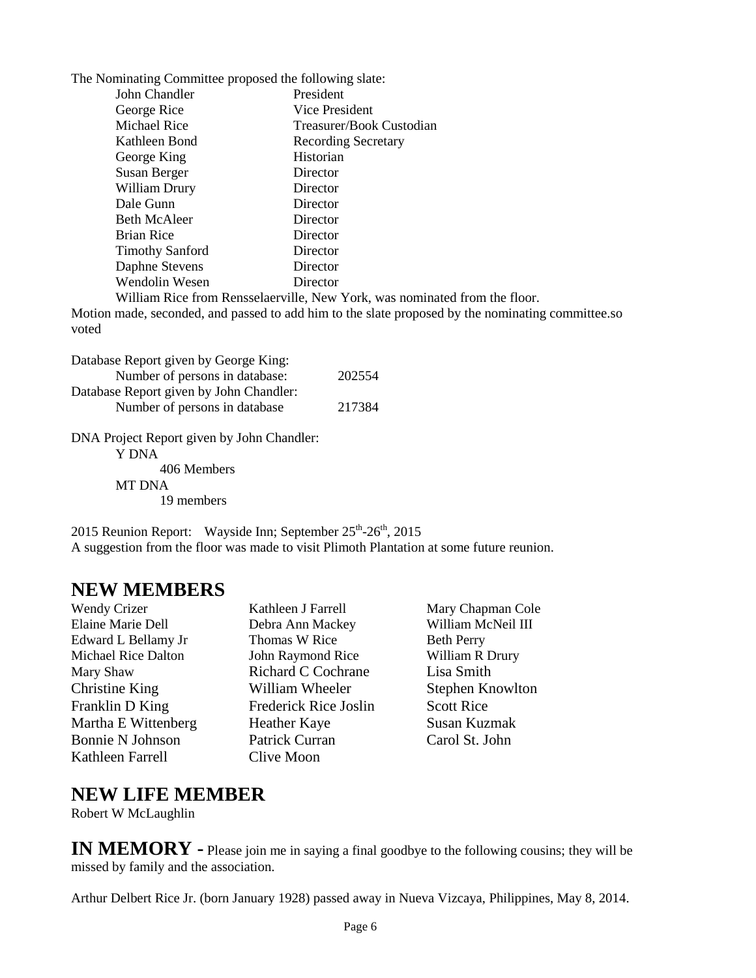The Nominating Committee proposed the following slate:

| John Chandler          | President                  |  |  |
|------------------------|----------------------------|--|--|
| George Rice            | Vice President             |  |  |
| <b>Michael Rice</b>    | Treasurer/Book Custodian   |  |  |
| Kathleen Bond          | <b>Recording Secretary</b> |  |  |
| George King            | Historian                  |  |  |
| Susan Berger           | Director                   |  |  |
| William Drury          | Director                   |  |  |
| Dale Gunn              | Director                   |  |  |
| <b>Beth McAleer</b>    | Director                   |  |  |
| <b>Brian Rice</b>      | Director                   |  |  |
| <b>Timothy Sanford</b> | Director                   |  |  |
| Daphne Stevens         | Director                   |  |  |
| Wendolin Wesen         | Director                   |  |  |
|                        |                            |  |  |

William Rice from Rensselaerville, New York, was nominated from the floor.

Motion made, seconded, and passed to add him to the slate proposed by the nominating committee.so voted

| Database Report given by George King:      |        |
|--------------------------------------------|--------|
| Number of persons in database:             | 202554 |
| Database Report given by John Chandler:    |        |
| Number of persons in database              | 217384 |
|                                            |        |
| DNA Project Report given by John Chandler: |        |
| Y DNA                                      |        |

406 Members

MT DNA 19 members

2015 Reunion Report: Wayside Inn; September  $25^{th}$ - $26^{th}$ , 2015 A suggestion from the floor was made to visit Plimoth Plantation at some future reunion.

## **NEW MEMBERS**

Elaine Marie Dell Debra Ann Mackey William McNeil III Edward L Bellamy Jr Thomas W Rice Beth Perry Michael Rice Dalton **John Raymond Rice** William R Drury Mary Shaw Richard C Cochrane Lisa Smith Christine King William Wheeler Stephen Knowlton Franklin D King Frederick Rice Joslin Scott Rice Martha E Wittenberg Heather Kaye Susan Kuzmak Bonnie N Johnson Patrick Curran Carol St. John Kathleen Farrell Clive Moon

Wendy Crizer **Kathleen J Farrell** Mary Chapman Cole

### **NEW LIFE MEMBER**

Robert W McLaughlin

**IN MEMORY** - Please join me in saying a final goodbye to the following cousins; they will be missed by family and the association.

Arthur Delbert Rice Jr. (born January 1928) passed away in Nueva Vizcaya, Philippines, May 8, 2014.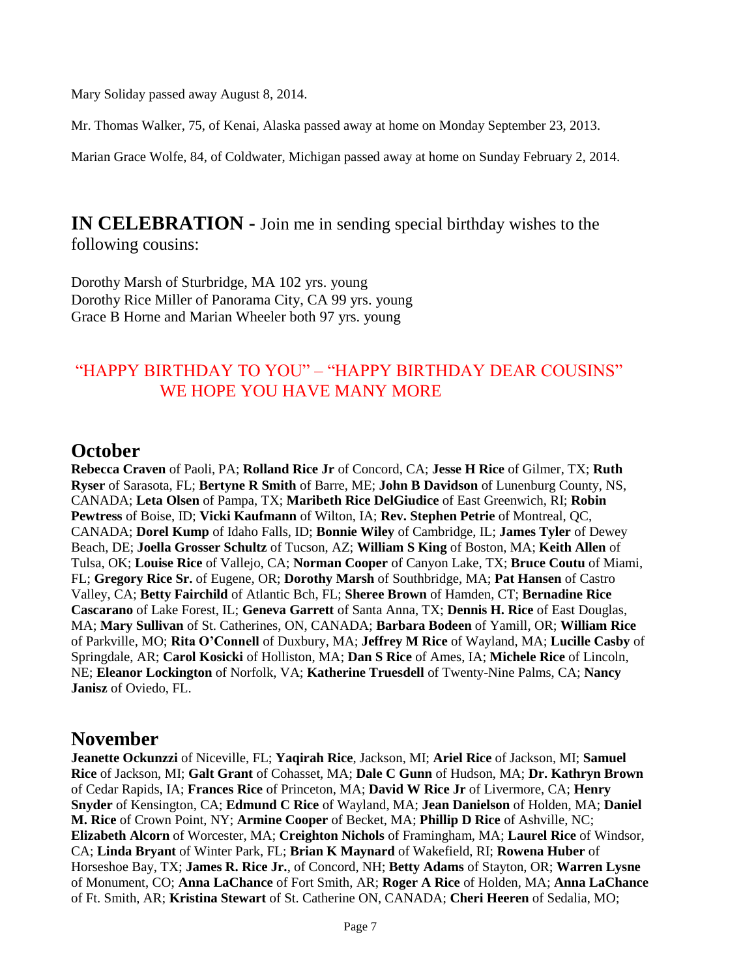Mary Soliday passed away August 8, 2014.

Mr. Thomas Walker, 75, of Kenai, Alaska passed away at home on Monday September 23, 2013.

Marian Grace Wolfe, 84, of Coldwater, Michigan passed away at home on Sunday February 2, 2014.

**IN CELEBRATION -** Join me in sending special birthday wishes to the following cousins:

Dorothy Marsh of Sturbridge, MA 102 yrs. young Dorothy Rice Miller of Panorama City, CA 99 yrs. young Grace B Horne and Marian Wheeler both 97 yrs. young

### "HAPPY BIRTHDAY TO YOU" – "HAPPY BIRTHDAY DEAR COUSINS" WE HOPE YOU HAVE MANY MORE

## **October**

**Rebecca Craven** of Paoli, PA; **Rolland Rice Jr** of Concord, CA; **Jesse H Rice** of Gilmer, TX; **Ruth Ryser** of Sarasota, FL; **Bertyne R Smith** of Barre, ME; **John B Davidson** of Lunenburg County, NS, CANADA; **Leta Olsen** of Pampa, TX; **Maribeth Rice DelGiudice** of East Greenwich, RI; **Robin Pewtress** of Boise, ID; **Vicki Kaufmann** of Wilton, IA; **Rev. Stephen Petrie** of Montreal, QC, CANADA; **Dorel Kump** of Idaho Falls, ID; **Bonnie Wiley** of Cambridge, IL; **James Tyler** of Dewey Beach, DE; **Joella Grosser Schultz** of Tucson, AZ; **William S King** of Boston, MA; **Keith Allen** of Tulsa, OK; **Louise Rice** of Vallejo, CA; **Norman Cooper** of Canyon Lake, TX; **Bruce Coutu** of Miami, FL; **Gregory Rice Sr.** of Eugene, OR; **Dorothy Marsh** of Southbridge, MA; **Pat Hansen** of Castro Valley, CA; **Betty Fairchild** of Atlantic Bch, FL; **Sheree Brown** of Hamden, CT; **Bernadine Rice Cascarano** of Lake Forest, IL; **Geneva Garrett** of Santa Anna, TX; **Dennis H. Rice** of East Douglas, MA; **Mary Sullivan** of St. Catherines, ON, CANADA; **Barbara Bodeen** of Yamill, OR; **William Rice** of Parkville, MO; **Rita O'Connell** of Duxbury, MA; **Jeffrey M Rice** of Wayland, MA; **Lucille Casby** of Springdale, AR; **Carol Kosicki** of Holliston, MA; **Dan S Rice** of Ames, IA; **Michele Rice** of Lincoln, NE; **Eleanor Lockington** of Norfolk, VA; **Katherine Truesdell** of Twenty-Nine Palms, CA; **Nancy Janisz** of Oviedo, FL.

## **November**

**Jeanette Ockunzzi** of Niceville, FL; **Yaqirah Rice**, Jackson, MI; **Ariel Rice** of Jackson, MI; **Samuel Rice** of Jackson, MI; **Galt Grant** of Cohasset, MA; **Dale C Gunn** of Hudson, MA; **Dr. Kathryn Brown** of Cedar Rapids, IA; **Frances Rice** of Princeton, MA; **David W Rice Jr** of Livermore, CA; **Henry Snyder** of Kensington, CA; **Edmund C Rice** of Wayland, MA; **Jean Danielson** of Holden, MA; **Daniel M. Rice** of Crown Point, NY; **Armine Cooper** of Becket, MA; **Phillip D Rice** of Ashville, NC; **Elizabeth Alcorn** of Worcester, MA; **Creighton Nichols** of Framingham, MA; **Laurel Rice** of Windsor, CA; **Linda Bryant** of Winter Park, FL; **Brian K Maynard** of Wakefield, RI; **Rowena Huber** of Horseshoe Bay, TX; **James R. Rice Jr.**, of Concord, NH; **Betty Adams** of Stayton, OR; **Warren Lysne** of Monument, CO; **Anna LaChance** of Fort Smith, AR; **Roger A Rice** of Holden, MA; **Anna LaChance** of Ft. Smith, AR; **Kristina Stewart** of St. Catherine ON, CANADA; **Cheri Heeren** of Sedalia, MO;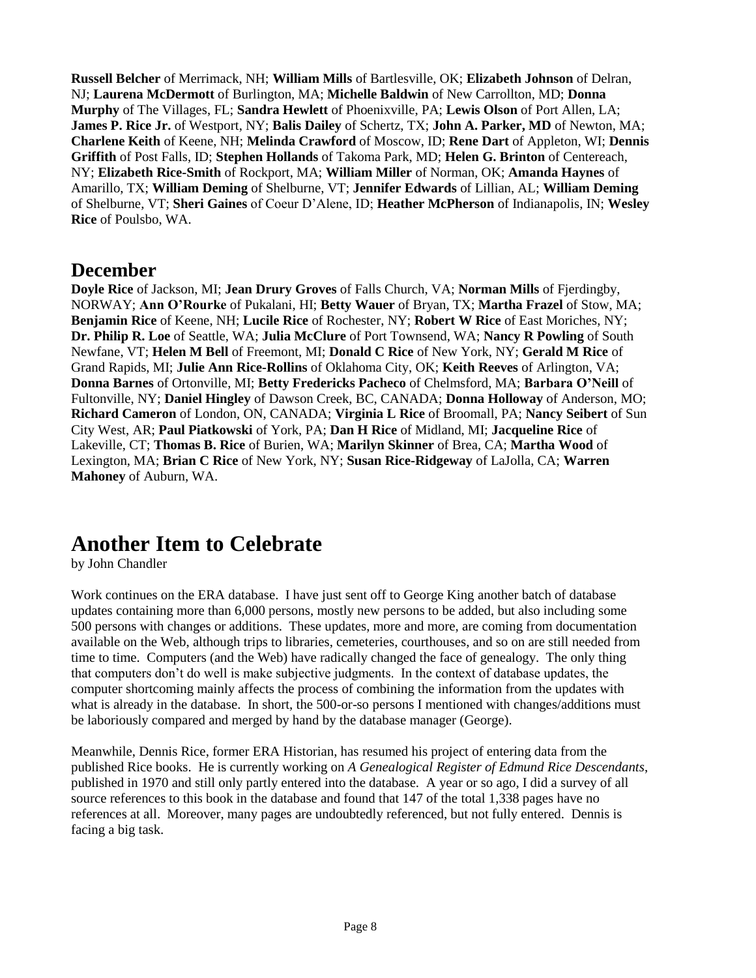**Russell Belcher** of Merrimack, NH; **William Mills** of Bartlesville, OK; **Elizabeth Johnson** of Delran, NJ; **Laurena McDermott** of Burlington, MA; **Michelle Baldwin** of New Carrollton, MD; **Donna Murphy** of The Villages, FL; **Sandra Hewlett** of Phoenixville, PA; **Lewis Olson** of Port Allen, LA; **James P. Rice Jr.** of Westport, NY; **Balis Dailey** of Schertz, TX; **John A. Parker, MD** of Newton, MA; **Charlene Keith** of Keene, NH; **Melinda Crawford** of Moscow, ID; **Rene Dart** of Appleton, WI; **Dennis Griffith** of Post Falls, ID; **Stephen Hollands** of Takoma Park, MD; **Helen G. Brinton** of Centereach, NY; **Elizabeth Rice-Smith** of Rockport, MA; **William Miller** of Norman, OK; **Amanda Haynes** of Amarillo, TX; **William Deming** of Shelburne, VT; **Jennifer Edwards** of Lillian, AL; **William Deming** of Shelburne, VT; **Sheri Gaines** of Coeur D'Alene, ID; **Heather McPherson** of Indianapolis, IN; **Wesley Rice** of Poulsbo, WA.

## **December**

**Doyle Rice** of Jackson, MI; **Jean Drury Groves** of Falls Church, VA; **Norman Mills** of Fjerdingby, NORWAY; **Ann O'Rourke** of Pukalani, HI; **Betty Wauer** of Bryan, TX; **Martha Frazel** of Stow, MA; **Benjamin Rice** of Keene, NH; **Lucile Rice** of Rochester, NY; **Robert W Rice** of East Moriches, NY; **Dr. Philip R. Loe** of Seattle, WA; **Julia McClure** of Port Townsend, WA; **Nancy R Powling** of South Newfane, VT; **Helen M Bell** of Freemont, MI; **Donald C Rice** of New York, NY; **Gerald M Rice** of Grand Rapids, MI; **Julie Ann Rice-Rollins** of Oklahoma City, OK; **Keith Reeves** of Arlington, VA; **Donna Barnes** of Ortonville, MI; **Betty Fredericks Pacheco** of Chelmsford, MA; **Barbara O'Neill** of Fultonville, NY; **Daniel Hingley** of Dawson Creek, BC, CANADA; **Donna Holloway** of Anderson, MO; **Richard Cameron** of London, ON, CANADA; **Virginia L Rice** of Broomall, PA; **Nancy Seibert** of Sun City West, AR; **Paul Piatkowski** of York, PA; **Dan H Rice** of Midland, MI; **Jacqueline Rice** of Lakeville, CT; **Thomas B. Rice** of Burien, WA; **Marilyn Skinner** of Brea, CA; **Martha Wood** of Lexington, MA; **Brian C Rice** of New York, NY; **Susan Rice-Ridgeway** of LaJolla, CA; **Warren Mahoney** of Auburn, WA.

# **Another Item to Celebrate**

by John Chandler

Work continues on the ERA database. I have just sent off to George King another batch of database updates containing more than 6,000 persons, mostly new persons to be added, but also including some 500 persons with changes or additions. These updates, more and more, are coming from documentation available on the Web, although trips to libraries, cemeteries, courthouses, and so on are still needed from time to time. Computers (and the Web) have radically changed the face of genealogy. The only thing that computers don't do well is make subjective judgments. In the context of database updates, the computer shortcoming mainly affects the process of combining the information from the updates with what is already in the database. In short, the 500-or-so persons I mentioned with changes/additions must be laboriously compared and merged by hand by the database manager (George).

Meanwhile, Dennis Rice, former ERA Historian, has resumed his project of entering data from the published Rice books. He is currently working on *A Genealogical Register of Edmund Rice Descendants*, published in 1970 and still only partly entered into the database. A year or so ago, I did a survey of all source references to this book in the database and found that 147 of the total 1,338 pages have no references at all. Moreover, many pages are undoubtedly referenced, but not fully entered. Dennis is facing a big task.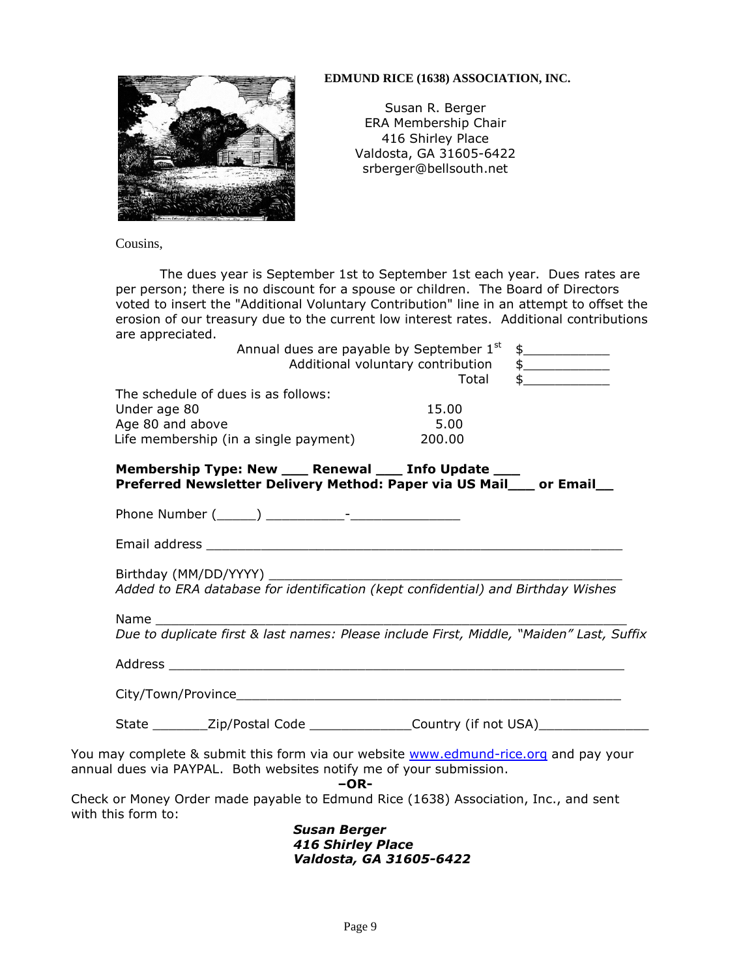

#### **EDMUND RICE (1638) ASSOCIATION, INC.**

Susan R. Berger ERA Membership Chair 416 Shirley Place Valdosta, GA 31605-6422 srberger@bellsouth.net

Cousins,

The dues year is September 1st to September 1st each year. Dues rates are per person; there is no discount for a spouse or children. The Board of Directors voted to insert the "Additional Voluntary Contribution" line in an attempt to offset the erosion of our treasury due to the current low interest rates. Additional contributions are appreciated.

|                                                                                                                                                             |                                                 | Annual dues are payable by September 1st   | $\frac{1}{2}$                   |
|-------------------------------------------------------------------------------------------------------------------------------------------------------------|-------------------------------------------------|--------------------------------------------|---------------------------------|
|                                                                                                                                                             |                                                 | Additional voluntary contribution<br>Total | $\frac{1}{2}$<br>$\updownarrow$ |
| The schedule of dues is as follows:                                                                                                                         |                                                 |                                            |                                 |
| Under age 80                                                                                                                                                |                                                 | 15.00                                      |                                 |
| Age 80 and above                                                                                                                                            |                                                 | 5.00                                       |                                 |
| Life membership (in a single payment)                                                                                                                       |                                                 | 200.00                                     |                                 |
| Membership Type: New ___ Renewal ___ Info Update ___<br>Preferred Newsletter Delivery Method: Paper via US Mail__ or Email__                                |                                                 |                                            |                                 |
|                                                                                                                                                             |                                                 |                                            |                                 |
|                                                                                                                                                             |                                                 |                                            |                                 |
|                                                                                                                                                             |                                                 |                                            |                                 |
| Name<br>Due to duplicate first & last names: Please include First, Middle, "Maiden" Last, Suffix                                                            |                                                 |                                            |                                 |
|                                                                                                                                                             |                                                 |                                            |                                 |
|                                                                                                                                                             |                                                 |                                            |                                 |
| State _________ Zip/Postal Code ________________ Country (if not USA)                                                                                       |                                                 |                                            |                                 |
| You may complete & submit this form via our website www.edmund-rice.org and pay your<br>annual dues via PAYPAL. Both websites notify me of your submission. | $-OR-$                                          |                                            |                                 |
| Check or Money Order made payable to Edmund Rice (1638) Association, Inc., and sent<br>with this form to:                                                   |                                                 |                                            |                                 |
|                                                                                                                                                             | <b>Susan Berger</b><br><b>416 Shirley Place</b> |                                            |                                 |

*Valdosta, GA 31605-6422*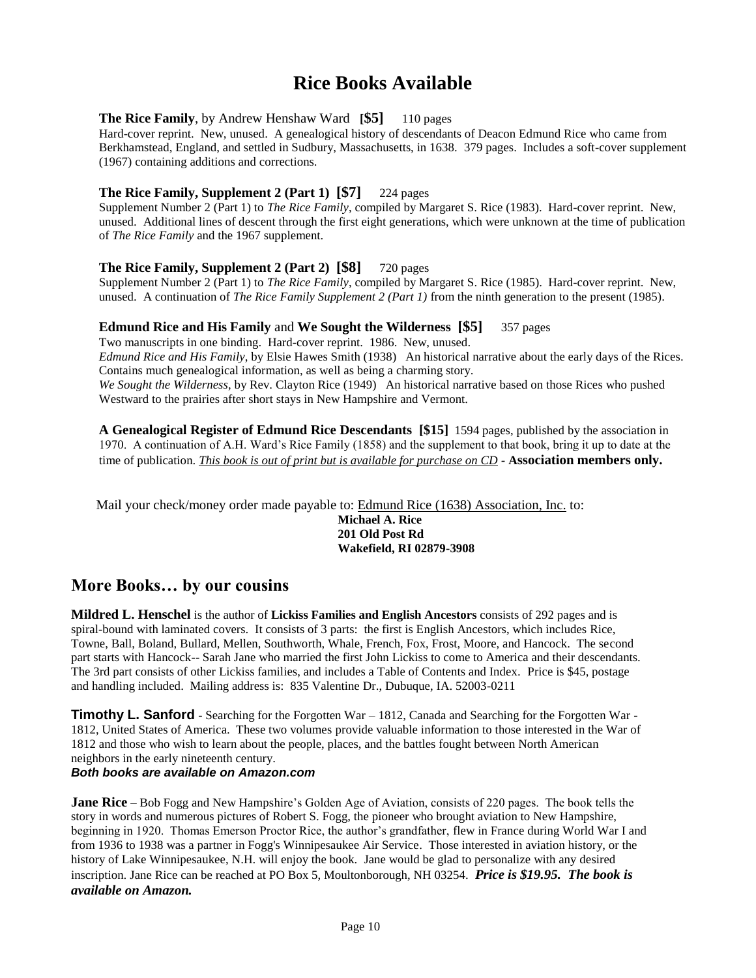## **Rice Books Available**

#### **The Rice Family**, by Andrew Henshaw Ward **[\$5]** 110 pages

Hard-cover reprint. New, unused. A genealogical history of descendants of Deacon Edmund Rice who came from Berkhamstead, England, and settled in Sudbury, Massachusetts, in 1638. 379 pages. Includes a soft-cover supplement (1967) containing additions and corrections.

#### **The Rice Family, Supplement 2 (Part 1) [\$7]** 224 pages

Supplement Number 2 (Part 1) to *The Rice Family*, compiled by Margaret S. Rice (1983). Hard-cover reprint. New, unused. Additional lines of descent through the first eight generations, which were unknown at the time of publication of *The Rice Family* and the 1967 supplement.

#### **The Rice Family, Supplement 2 (Part 2) [\$8]** 720 pages

Supplement Number 2 (Part 1) to *The Rice Family*, compiled by Margaret S. Rice (1985). Hard-cover reprint. New, unused. A continuation of *The Rice Family Supplement 2 (Part 1)* from the ninth generation to the present (1985).

#### **Edmund Rice and His Family** and **We Sought the Wilderness [\$5]** 357 pages

Two manuscripts in one binding. Hard-cover reprint. 1986. New, unused. *Edmund Rice and His Family*, by Elsie Hawes Smith (1938) An historical narrative about the early days of the Rices. Contains much genealogical information, as well as being a charming story. *We Sought the Wilderness*, by Rev. Clayton Rice (1949) An historical narrative based on those Rices who pushed Westward to the prairies after short stays in New Hampshire and Vermont.

**A Genealogical Register of Edmund Rice Descendants [\$15]** 1594 pages, published by the association in 1970. A continuation of A.H. Ward's Rice Family (1858) and the supplement to that book, bring it up to date at the time of publication. *This book is out of print but is available for purchase on CD -* **Association members only.**

Mail your check/money order made payable to: Edmund Rice (1638) Association, Inc. to:

**Michael A. Rice 201 Old Post Rd Wakefield, RI 02879-3908**

#### **More Books… by our cousins**

**Mildred L. Henschel** is the author of **Lickiss Families and English Ancestors** consists of 292 pages and is spiral-bound with laminated covers. It consists of 3 parts: the first is English Ancestors, which includes Rice, Towne, Ball, Boland, Bullard, Mellen, Southworth, Whale, French, Fox, Frost, Moore, and Hancock. The second part starts with Hancock-- Sarah Jane who married the first John Lickiss to come to America and their descendants. The 3rd part consists of other Lickiss families, and includes a Table of Contents and Index. Price is \$45, postage and handling included. Mailing address is: 835 Valentine Dr., Dubuque, IA. 52003-0211

**Timothy L. Sanford** - Searching for the Forgotten War – 1812, Canada and Searching for the Forgotten War -1812, United States of America. These two volumes provide valuable information to those interested in the War of 1812 and those who wish to learn about the people, places, and the battles fought between North American neighbors in the early nineteenth century.

#### *Both books are available on Amazon.com*

**Jane Rice** – Bob Fogg and New Hampshire's Golden Age of Aviation, consists of 220 pages. The book tells the story in words and numerous pictures of Robert S. Fogg, the pioneer who brought aviation to New Hampshire, beginning in 1920. Thomas Emerson Proctor Rice, the author's grandfather, flew in France during World War I and from 1936 to 1938 was a partner in Fogg's Winnipesaukee Air Service. Those interested in aviation history, or the history of Lake Winnipesaukee, N.H. will enjoy the book. Jane would be glad to personalize with any desired inscription. Jane Rice can be reached at PO Box 5, Moultonborough, NH 03254. *Price is \$19.95. The book is available on Amazon.*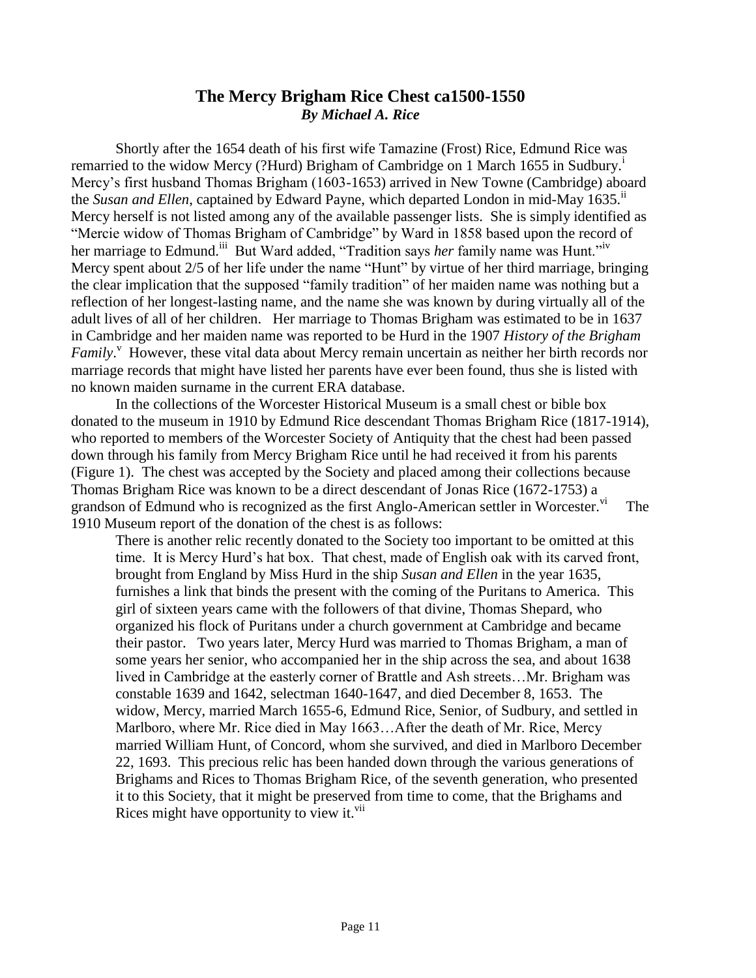#### **The Mercy Brigham Rice Chest ca1500-1550** *By Michael A. Rice*

Shortly after the 1654 death of his first wife Tamazine (Frost) Rice, Edmund Rice was remarried to the widow Mercy (?Hurd) Brigham of Cambridge on 1 March 1655 in Sudbury.<sup>i</sup> Mercy's first husband Thomas Brigham (1603-1653) arrived in New Towne (Cambridge) aboard the *Susan and Ellen*, captained by Edward Payne, which departed London in mid-May 1635.<sup>ii</sup> Mercy herself is not listed among any of the available passenger lists. She is simply identified as "Mercie widow of Thomas Brigham of Cambridge" by Ward in 1858 based upon the record of her marriage to Edmund.<sup>iii</sup> But Ward added, "Tradition says *her* family name was Hunt."<sup>iv</sup> Mercy spent about 2/5 of her life under the name "Hunt" by virtue of her third marriage, bringing the clear implication that the supposed "family tradition" of her maiden name was nothing but a reflection of her longest-lasting name, and the name she was known by during virtually all of the adult lives of all of her children. Her marriage to Thomas Brigham was estimated to be in 1637 in Cambridge and her maiden name was reported to be Hurd in the 1907 *History of the Brigham*  Family.<sup>V</sup> However, these vital data about Mercy remain uncertain as neither her birth records nor marriage records that might have listed her parents have ever been found, thus she is listed with no known maiden surname in the current ERA database.

In the collections of the Worcester Historical Museum is a small chest or bible box donated to the museum in 1910 by Edmund Rice descendant Thomas Brigham Rice (1817-1914), who reported to members of the Worcester Society of Antiquity that the chest had been passed down through his family from Mercy Brigham Rice until he had received it from his parents (Figure 1). The chest was accepted by the Society and placed among their collections because Thomas Brigham Rice was known to be a direct descendant of Jonas Rice (1672-1753) a grandson of Edmund who is recognized as the first Anglo-American settler in Worcester.<sup>vi</sup> The 1910 Museum report of the donation of the chest is as follows:

There is another relic recently donated to the Society too important to be omitted at this time. It is Mercy Hurd's hat box. That chest, made of English oak with its carved front, brought from England by Miss Hurd in the ship *Susan and Ellen* in the year 1635, furnishes a link that binds the present with the coming of the Puritans to America. This girl of sixteen years came with the followers of that divine, Thomas Shepard, who organized his flock of Puritans under a church government at Cambridge and became their pastor. Two years later, Mercy Hurd was married to Thomas Brigham, a man of some years her senior, who accompanied her in the ship across the sea, and about 1638 lived in Cambridge at the easterly corner of Brattle and Ash streets…Mr. Brigham was constable 1639 and 1642, selectman 1640-1647, and died December 8, 1653. The widow, Mercy, married March 1655-6, Edmund Rice, Senior, of Sudbury, and settled in Marlboro, where Mr. Rice died in May 1663…After the death of Mr. Rice, Mercy married William Hunt, of Concord, whom she survived, and died in Marlboro December 22, 1693. This precious relic has been handed down through the various generations of Brighams and Rices to Thomas Brigham Rice, of the seventh generation, who presented it to this Society, that it might be preserved from time to come, that the Brighams and Rices might have opportunity to view it. $\overline{v}$ <sup>ii</sup>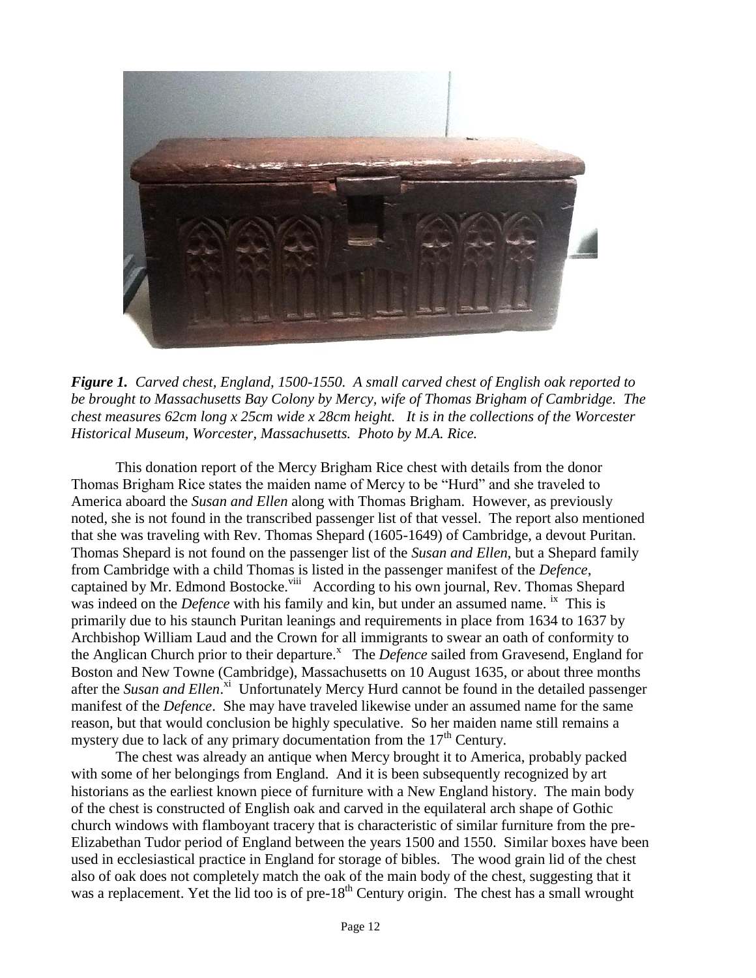

*Figure 1. Carved chest, England, 1500-1550. A small carved chest of English oak reported to be brought to Massachusetts Bay Colony by Mercy, wife of Thomas Brigham of Cambridge. The chest measures 62cm long x 25cm wide x 28cm height. It is in the collections of the Worcester Historical Museum, Worcester, Massachusetts. Photo by M.A. Rice.*

This donation report of the Mercy Brigham Rice chest with details from the donor Thomas Brigham Rice states the maiden name of Mercy to be "Hurd" and she traveled to America aboard the *Susan and Ellen* along with Thomas Brigham. However, as previously noted, she is not found in the transcribed passenger list of that vessel. The report also mentioned that she was traveling with Rev. Thomas Shepard (1605-1649) of Cambridge, a devout Puritan. Thomas Shepard is not found on the passenger list of the *Susan and Ellen*, but a Shepard family from Cambridge with a child Thomas is listed in the passenger manifest of the *Defence*, captained by Mr. Edmond Bostocke.<sup>viii</sup> According to his own journal, Rev. Thomas Shepard was indeed on the *Defence* with his family and kin, but under an assumed name. <sup>ix</sup> This is primarily due to his staunch Puritan leanings and requirements in place from 1634 to 1637 by Archbishop William Laud and the Crown for all immigrants to swear an oath of conformity to the Anglican Church prior to their departure.<sup>x</sup> The *Defence* sailed from Gravesend, England for Boston and New Towne (Cambridge), Massachusetts on 10 August 1635, or about three months after the Susan and Ellen.<sup>xi</sup> Unfortunately Mercy Hurd cannot be found in the detailed passenger manifest of the *Defence*. She may have traveled likewise under an assumed name for the same reason, but that would conclusion be highly speculative. So her maiden name still remains a mystery due to lack of any primary documentation from the  $17<sup>th</sup>$  Century.

The chest was already an antique when Mercy brought it to America, probably packed with some of her belongings from England. And it is been subsequently recognized by art historians as the earliest known piece of furniture with a New England history. The main body of the chest is constructed of English oak and carved in the equilateral arch shape of Gothic church windows with flamboyant tracery that is characteristic of similar furniture from the pre-Elizabethan Tudor period of England between the years 1500 and 1550. Similar boxes have been used in ecclesiastical practice in England for storage of bibles. The wood grain lid of the chest also of oak does not completely match the oak of the main body of the chest, suggesting that it was a replacement. Yet the lid too is of pre-18<sup>th</sup> Century origin. The chest has a small wrought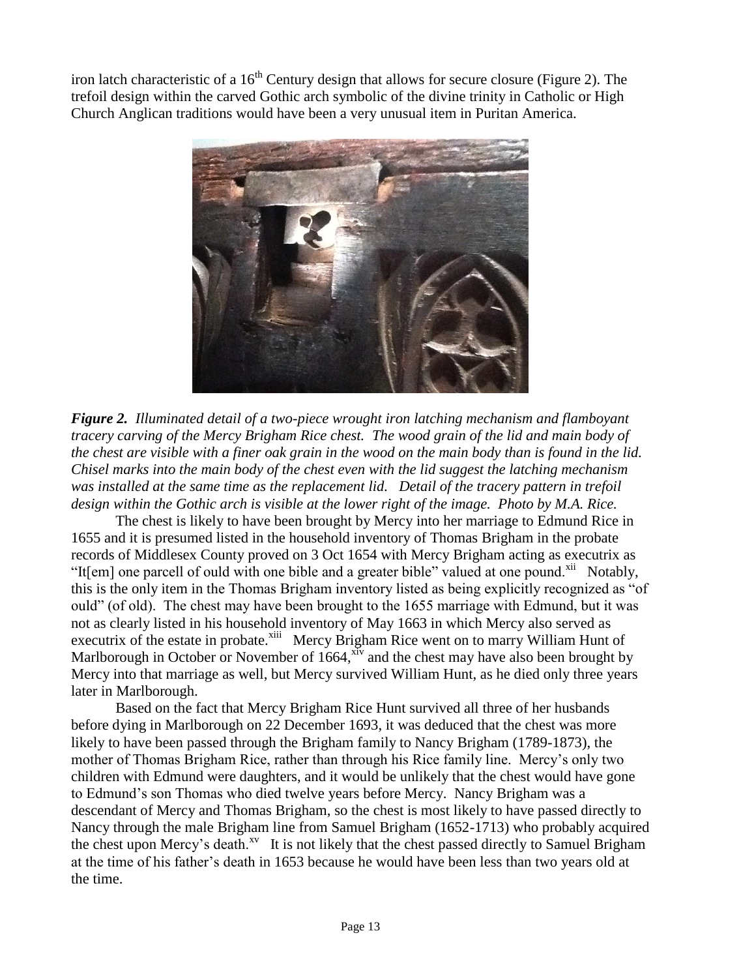iron latch characteristic of a  $16<sup>th</sup>$  Century design that allows for secure closure (Figure 2). The trefoil design within the carved Gothic arch symbolic of the divine trinity in Catholic or High Church Anglican traditions would have been a very unusual item in Puritan America.



*Figure 2. Illuminated detail of a two-piece wrought iron latching mechanism and flamboyant tracery carving of the Mercy Brigham Rice chest. The wood grain of the lid and main body of the chest are visible with a finer oak grain in the wood on the main body than is found in the lid. Chisel marks into the main body of the chest even with the lid suggest the latching mechanism was installed at the same time as the replacement lid. Detail of the tracery pattern in trefoil design within the Gothic arch is visible at the lower right of the image. Photo by M.A. Rice.*

The chest is likely to have been brought by Mercy into her marriage to Edmund Rice in 1655 and it is presumed listed in the household inventory of Thomas Brigham in the probate records of Middlesex County proved on 3 Oct 1654 with Mercy Brigham acting as executrix as "It[em] one parcell of ould with one bible and a greater bible" valued at one pound.<sup>xii</sup> Notably, this is the only item in the Thomas Brigham inventory listed as being explicitly recognized as "of ould" (of old). The chest may have been brought to the 1655 marriage with Edmund, but it was not as clearly listed in his household inventory of May 1663 in which Mercy also served as executrix of the estate in probate.<sup>xiii</sup> Mercy Brigham Rice went on to marry William Hunt of Marlborough in October or November of  $1664$ ,  $\frac{x}{x}$  and the chest may have also been brought by Mercy into that marriage as well, but Mercy survived William Hunt, as he died only three years later in Marlborough.

Based on the fact that Mercy Brigham Rice Hunt survived all three of her husbands before dying in Marlborough on 22 December 1693, it was deduced that the chest was more likely to have been passed through the Brigham family to Nancy Brigham (1789-1873), the mother of Thomas Brigham Rice, rather than through his Rice family line. Mercy's only two children with Edmund were daughters, and it would be unlikely that the chest would have gone to Edmund's son Thomas who died twelve years before Mercy. Nancy Brigham was a descendant of Mercy and Thomas Brigham, so the chest is most likely to have passed directly to Nancy through the male Brigham line from Samuel Brigham (1652-1713) who probably acquired the chest upon Mercy's death.<sup>xv</sup> It is not likely that the chest passed directly to Samuel Brigham at the time of his father's death in 1653 because he would have been less than two years old at the time.